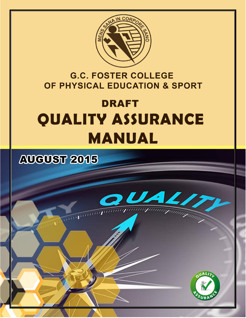

### **G.C. FOSTER COLLEGE** OF PHYSICAL EDUCATION & SPORT

# **DRAFT QUALITY ASSURANCE MANUAL**

# **AUGUST 2015**



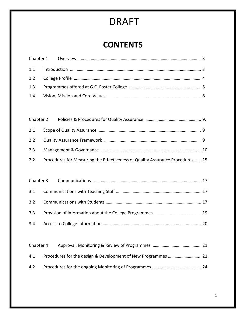### **CONTENTS**

|  | 2.2 Procedures for Measuring the Effectiveness of Quality Assurance Procedures  15 |  |
|--|------------------------------------------------------------------------------------|--|

| Chapter 4 |  |
|-----------|--|
| 4.1       |  |
| 4.2       |  |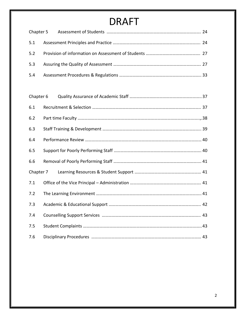| Chapter 6 |  |
|-----------|--|
| 6.1       |  |
| 6.2       |  |
| 6.3       |  |
| 6.4       |  |
| 6.5       |  |
| 6.6       |  |
| Chapter 7 |  |
| 7.1       |  |
| 7.2       |  |
| 7.3       |  |
| 7.4       |  |
| 7.5       |  |
| 7.6       |  |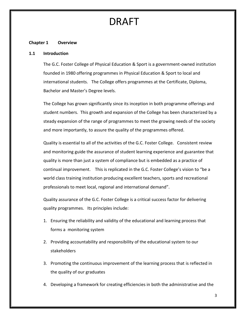#### **Chapter 1 Overview**

#### **1.1 Introduction**

The G.C. Foster College of Physical Education & Sport is a government-owned institution founded in 1980 offering programmes in Physical Education & Sport to local and international students. The College offers programmes at the Certificate, Diploma, Bachelor and Master's Degree levels.

The College has grown significantly since its inception in both programme offerings and student numbers. This growth and expansion of the College has been characterized by a steady expansion of the range of programmes to meet the growing needs of the society and more importantly, to assure the quality of the programmes offered.

Quality is essential to all of the activities of the G.C. Foster College. Consistent review and monitoring guide the assurance of student learning experience and guarantee that quality is more than just a system of compliance but is embedded as a practice of continual improvement. This is replicated in the G.C. Foster College's vision to "be a world class training institution producing excellent teachers, sports and recreational professionals to meet local, regional and international demand".

Quality assurance of the G.C. Foster College is a critical success factor for delivering quality programmes. Its principles include:

- 1. Ensuring the reliability and validity of the educational and learning process that forms a monitoring system
- 2. Providing accountability and responsibility of the educational system to our stakeholders
- 3. Promoting the continuous improvement of the learning process that is reflected in the quality of our graduates
- 4. Developing a framework for creating efficiencies in both the administrative and the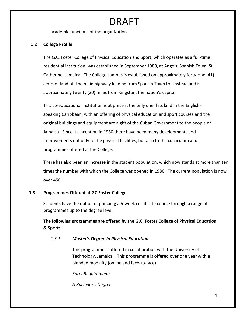academic functions of the organization.

#### **1.2 College Profile**

The G.C. Foster College of Physical Education and Sport, which operates as a full-time residential institution, was established in September 1980, at Angels, Spanish Town, St. Catherine, Jamaica. The College campus is established on approximately forty-one (41) acres of land off the main highway leading from Spanish Town to Linstead and is approximately twenty (20) miles from Kingston, the nation's capital.

This co-educational institution is at present the only one if its kind in the Englishspeaking Caribbean, with an offering of physical education and sport courses and the original buildings and equipment are a gift of the Cuban Government to the people of Jamaica. Since its inception in 1980 there have been many developments and improvements not only to the physical facilities, but also to the curriculum and programmes offered at the College.

There has also been an increase in the student population, which now stands at more than ten times the number with which the College was opened in 1980. The current population is now over 450.

#### **1.3 Programmes Offered at GC Foster College**

Students have the option of pursuing a 6-week certificate course through a range of programmes up to the degree level.

**The following programmes are offered by the G.C. Foster College of Physical Education & Sport:**

#### *1.3.1 Master's Degree in Physical Education*

This programme is offered in collaboration with the University of Technology, Jamaica. This programme is offered over one year with a blended modality (online and face-to-face).

*Entry Requirements*

*A Bachelor's Degree*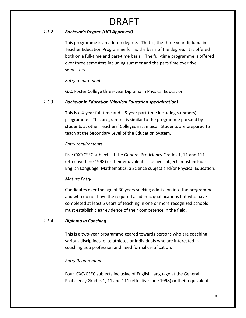#### *1.3.2 Bachelor's Degree (UCJ Approved)*

This programme is an add-on degree. That is, the three year diploma in Teacher Education Programme forms the basis of the degree. It is offered both on a full-time and part-time basis. The full-time programme is offered over three semesters including summer and the part-time over five semesters.

#### *Entry requirement*

G.C. Foster College three-year Diploma in Physical Education

#### *1.3.3 Bachelor in Education (Physical Education specialization)*

This is a 4-year full-time and a 5-year part-time including summers) programme. This programme is similar to the programme pursued by students at other Teachers' Colleges in Jamaica. Students are prepared to teach at the Secondary Level of the Education System.

#### *Entry requirements*

Five CXC/CSEC subjects at the General Proficiency Grades 1, 11 and 111 (effective June 1998) or their equivalent. The five subjects must include English Language, Mathematics, a Science subject and/or Physical Education.

#### *Mature Entry*

Candidates over the age of 30 years seeking admission into the programme and who do not have the required academic qualifications but who have completed at least 5 years of teaching in one or more recognized schools must establish clear evidence of their competence in the field.

#### *1.3.4 Diploma in Coaching*

This is a two-year programme geared towards persons who are coaching various disciplines, elite athletes or individuals who are interested in coaching as a profession and need formal certification.

#### *Entry Requirements*

Four CXC/CSEC subjects inclusive of English Language at the General Proficiency Grades 1, 11 and 111 (effective June 1998) or their equivalent.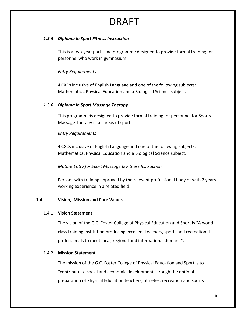#### *1.3.5 Diploma in Sport Fitness Instruction*

This is a two-year part-time programme designed to provide formal training for personnel who work in gymnasium.

#### *Entry Requirements*

4 CXCs inclusive of English Language and one of the following subjects: Mathematics, Physical Education and a Biological Science subject.

#### *1.3.6 Diploma in Sport Massage Therapy*

This programmeis designed to provide formal training for personnel for Sports Massage Therapy in all areas of sports.

#### *Entry Requirements*

4 CXCs inclusive of English Language and one of the following subjects: Mathematics, Physical Education and a Biological Science subject.

#### *Mature Entry for Sport Massage & Fitness Instruction*

Persons with training approved by the relevant professional body or with 2 years working experience in a related field.

#### **1.4 Vision, Mission and Core Values**

#### 1.4.1 **Vision Statement**

The vision of the G.C. Foster College of Physical Education and Sport is "A world class training institution producing excellent teachers, sports and recreational professionals to meet local, regional and international demand".

#### 1.4.2 **Mission Statement**

The mission of the G.C. Foster College of Physical Education and Sport is to "contribute to social and economic development through the optimal preparation of Physical Education teachers, athletes, recreation and sports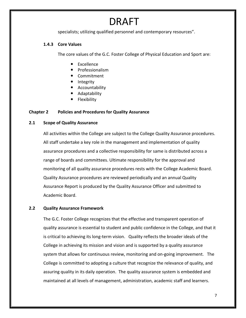specialists; utilizing qualified personnel and contemporary resources".

#### **1.4.3 Core Values**

The core values of the G.C. Foster College of Physical Education and Sport are:

- Excellence
- Professionalism
- Commitment
- Integrity
- Accountability
- Adaptability
- Flexibility

#### **Chapter 2 Policies and Procedures for Quality Assurance**

#### **2.1 Scope of Quality Assurance**

All activities within the College are subject to the College Quality Assurance procedures. All staff undertake a key role in the management and implementation of quality assurance procedures and a collective responsibility for same is distributed across a range of boards and committees. Ultimate responsibility for the approval and monitoring of all quality assurance procedures rests with the College Academic Board. Quality Assurance procedures are reviewed periodically and an annual Quality Assurance Report is produced by the Quality Assurance Officer and submitted to Academic Board.

#### **2.2 Quality Assurance Framework**

The G.C. Foster College recognizes that the effective and transparent operation of quality assurance is essential to student and public confidence in the College, and that it is critical to achieving its long-term vision. Quality reflects the broader ideals of the College in achieving its mission and vision and is supported by a quality assurance system that allows for continuous review, monitoring and on-going improvement. The College is committed to adopting a culture that recognize the relevance of quality, and assuring quality in its daily operation. The quality assurance system is embedded and maintained at all levels of management, administration, academic staff and learners.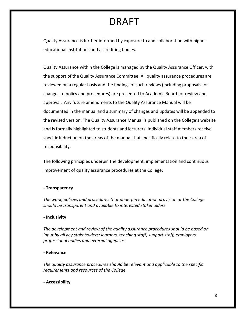Quality Assurance is further informed by exposure to and collaboration with higher educational institutions and accrediting bodies.

Quality Assurance within the College is managed by the Quality Assurance Officer, with the support of the Quality Assurance Committee. All quality assurance procedures are reviewed on a regular basis and the findings of such reviews (including proposals for changes to policy and procedures) are presented to Academic Board for review and approval. Any future amendments to the Quality Assurance Manual will be documented in the manual and a summary of changes and updates will be appended to the revised version. The Quality Assurance Manual is published on the College's website and is formally highlighted to students and lecturers. Individual staff members receive specific induction on the areas of the manual that specifically relate to their area of responsibility.

The following principles underpin the development, implementation and continuous improvement of quality assurance procedures at the College:

#### **- Transparency**

*The work, policies and procedures that underpin education provision at the College should be transparent and available to interested stakeholders.* 

#### **- Inclusivity**

*The development and review of the quality assurance procedures should be based on input by all key stakeholders: learners, teaching staff, support staff, employers, professional bodies and external agencies.* 

#### **- Relevance**

*The quality assurance procedures should be relevant and applicable to the specific requirements and resources of the College.* 

#### **- Accessibility**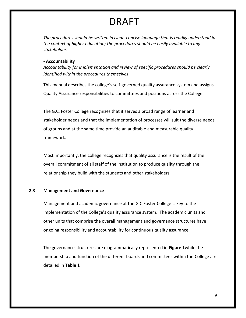*The procedures should be written in clear, concise language that is readily understood in the context of higher education; the procedures should be easily available to any stakeholder.* 

#### **- Accountability**

*Accountability for implementation and review of specific procedures should be clearly identified within the procedures themselves*

This manual describes the college's self-governed quality assurance system and assigns Quality Assurance responsibilities to committees and positions across the College.

The G.C. Foster College recognizes that it serves a broad range of learner and stakeholder needs and that the implementation of processes will suit the diverse needs of groups and at the same time provide an auditable and measurable quality framework.

Most importantly, the college recognizes that quality assurance is the result of the overall commitment of all staff of the institution to produce quality through the relationship they build with the students and other stakeholders.

#### **2.3 Management and Governance**

Management and academic governance at the G.C Foster College is key to the implementation of the College's quality assurance system. The academic units and other units that comprise the overall management and governance structures have ongoing responsibility and accountability for continuous quality assurance.

The governance structures are diagrammatically represented in **Figure 1**while the membership and function of the different boards and committees within the College are detailed in **Table 1**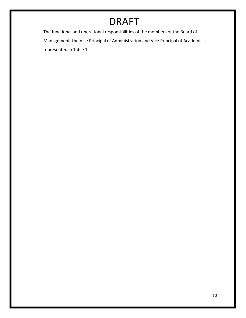The functional and operational responsibilities of the members of the Board of Management, the Vice Principal of Administration and Vice Principal of Academic s, represented in Table 1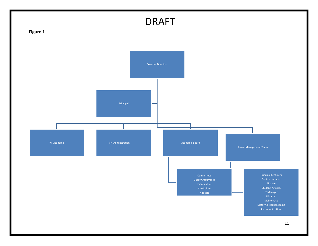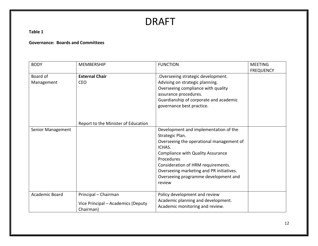**Table 1**

#### **Governance: Boards and Committees**

| <b>BODY</b>            | <b>MEMBERSHIP</b>                                                       | <b>FUNCTION</b>                                                                                                                                                                                             | <b>MEETING</b><br><b>FREQUENCY</b> |
|------------------------|-------------------------------------------------------------------------|-------------------------------------------------------------------------------------------------------------------------------------------------------------------------------------------------------------|------------------------------------|
| Board of<br>Management | <b>External Chair</b><br><b>CEO</b>                                     | .Overseeing strategic development.<br>Advising on strategic planning.<br>Overseeing compliance with quality<br>assurance procedures.<br>Guardianship of corporate and academic<br>governance best practice. |                                    |
| Senior Management      | Report to the Minister of Education                                     | Development and implementation of the<br>Strategic Plan.<br>Overseeing the operational management of                                                                                                        |                                    |
|                        |                                                                         | ICHAS.<br><b>Compliance with Quality Assurance</b><br>Procedures                                                                                                                                            |                                    |
|                        |                                                                         | Consideration of HRM requirements.<br>Overseeing marketing and PR initiatives.<br>Overseeing programme development and<br>review                                                                            |                                    |
| Academic Board         | Principal - Chairman<br>Vice Principal - Academics (Deputy<br>Chairman) | Policy development and review<br>Academic planning and development.<br>Academic monitoring and review.                                                                                                      |                                    |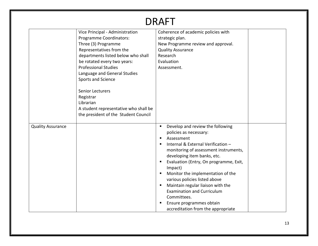| DRAFT                    |                                                                                                                                                                                                                                                                                                                                                                                                               |                                                                                                                                                                                                                                                                                                                                                                                                                                                                                                  |  |  |
|--------------------------|---------------------------------------------------------------------------------------------------------------------------------------------------------------------------------------------------------------------------------------------------------------------------------------------------------------------------------------------------------------------------------------------------------------|--------------------------------------------------------------------------------------------------------------------------------------------------------------------------------------------------------------------------------------------------------------------------------------------------------------------------------------------------------------------------------------------------------------------------------------------------------------------------------------------------|--|--|
|                          | Vice Principal - Administration<br>Programme Coordinators:<br>Three (3) Programme<br>Representatives from the<br>departments listed below who shall<br>be rotated every two years:<br><b>Professional Studies</b><br>Language and General Studies<br>Sports and Science<br><b>Senior Lecturers</b><br>Registrar<br>Librarian<br>A student representative who shall be<br>the president of the Student Council | Coherence of academic policies with<br>strategic plan.<br>New Programme review and approval.<br><b>Quality Assurance</b><br>Research<br>Evaluation<br>Assessment.                                                                                                                                                                                                                                                                                                                                |  |  |
| <b>Quality Assurance</b> |                                                                                                                                                                                                                                                                                                                                                                                                               | Develop and review the following<br>policies as necessary:<br>Assessment<br>п<br>Internal & External Verification -<br>monitoring of assessment instruments,<br>developing item banks, etc.<br>Evaluation (Entry, On programme, Exit,<br>٠<br>Impact)<br>Monitor the implementation of the<br>п<br>various policies listed above<br>Maintain regular liaison with the<br><b>Examination and Curriculum</b><br>Committees.<br>Ensure programmes obtain<br>п<br>accreditation from the appropriate |  |  |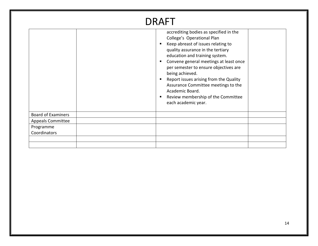|                           | <b>DRAFT</b>                                                                                                                                                                                                                                                                                                                                                                                                                                                                               |
|---------------------------|--------------------------------------------------------------------------------------------------------------------------------------------------------------------------------------------------------------------------------------------------------------------------------------------------------------------------------------------------------------------------------------------------------------------------------------------------------------------------------------------|
|                           | accrediting bodies as specified in the<br>College's Operational Plan<br>Keep abreast of issues relating to<br>$\blacksquare$<br>quality assurance in the tertiary<br>education and training system.<br>Convene general meetings at least once<br>٠<br>per semester to ensure objectives are<br>being achieved.<br>Report issues arising from the Quality<br>٠<br>Assurance Committee meetings to the<br>Academic Board.<br>Review membership of the Committee<br>п.<br>each academic year. |
| <b>Board of Examiners</b> |                                                                                                                                                                                                                                                                                                                                                                                                                                                                                            |
| <b>Appeals Committee</b>  |                                                                                                                                                                                                                                                                                                                                                                                                                                                                                            |
| Programme                 |                                                                                                                                                                                                                                                                                                                                                                                                                                                                                            |
| Coordinators              |                                                                                                                                                                                                                                                                                                                                                                                                                                                                                            |
|                           |                                                                                                                                                                                                                                                                                                                                                                                                                                                                                            |
|                           |                                                                                                                                                                                                                                                                                                                                                                                                                                                                                            |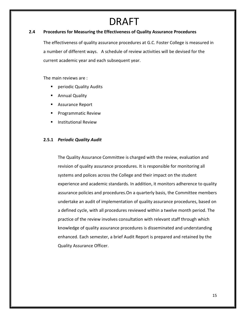#### **2.4 Procedures for Measuring the Effectiveness of Quality Assurance Procedures**

The effectiveness of quality assurance procedures at G.C. Foster College is measured in a number of different ways. A schedule of review activities will be devised for the current academic year and each subsequent year.

The main reviews are :

- **Part Periodic Quality Audits**
- Annual Quality
- **Assurance Report**
- Programmatic Review
- **Institutional Review**

#### **2.5.1** *Periodic Quality Audit*

The Quality Assurance Committee is charged with the review, evaluation and revision of quality assurance procedures. It is responsible for monitoring all systems and polices across the College and their impact on the student experience and academic standards. In addition, it monitors adherence to quality assurance policies and procedures.On a quarterly basis, the Committee members undertake an audit of implementation of quality assurance procedures, based on a defined cycle, with all procedures reviewed within a twelve month period. The practice of the review involves consultation with relevant staff through which knowledge of quality assurance procedures is disseminated and understanding enhanced. Each semester, a brief Audit Report is prepared and retained by the Quality Assurance Officer.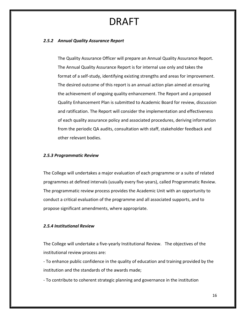#### *2.5.2 Annual Quality Assurance Report*

The Quality Assurance Officer will prepare an Annual Quality Assurance Report. The Annual Quality Assurance Report is for internal use only and takes the format of a self-study, identifying existing strengths and areas for improvement. The desired outcome of this report is an annual action plan aimed at ensuring the achievement of ongoing quality enhancement. The Report and a proposed Quality Enhancement Plan is submitted to Academic Board for review, discussion and ratification. The Report will consider the implementation and effectiveness of each quality assurance policy and associated procedures, deriving information from the periodic QA audits, consultation with staff, stakeholder feedback and other relevant bodies.

#### *2.5.3 Programmatic Review*

The College will undertakes a major evaluation of each programme or a suite of related programmes at defined intervals (usually every five-years), called Programmatic Review. The programmatic review process provides the Academic Unit with an opportunity to conduct a critical evaluation of the programme and all associated supports, and to propose significant amendments, where appropriate.

#### *2.5.4 Institutional Review*

The College will undertake a five-yearly Institutional Review. The objectives of the institutional review process are:

- To enhance public confidence in the quality of education and training provided by the institution and the standards of the awards made;

- To contribute to coherent strategic planning and governance in the institution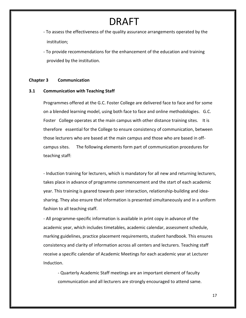- To assess the effectiveness of the quality assurance arrangements operated by the institution;

- To provide recommendations for the enhancement of the education and training provided by the institution.

#### **Chapter 3 Communication**

#### **3.1 Communication with Teaching Staff**

Programmes offered at the G.C. Foster College are delivered face to face and for some on a blended learning model, using both face to face and online methodologies. G.C. Foster College operates at the main campus with other distance training sites. It is therefore essential for the College to ensure consistency of communication, between those lecturers who are based at the main campus and those who are based in offcampus sites. The following elements form part of communication procedures for teaching staff:

- Induction training for lecturers, which is mandatory for all new and returning lecturers, takes place in advance of programme commencement and the start of each academic year. This training is geared towards peer interaction, relationship-building and ideasharing. They also ensure that information is presented simultaneously and in a uniform fashion to all teaching staff.

- All programme-specific information is available in print copy in advance of the academic year, which includes timetables, academic calendar, assessment schedule, marking guidelines, practice placement requirements, student handbook. This ensures consistency and clarity of information across all centers and lecturers. Teaching staff receive a specific calendar of Academic Meetings for each academic year at Lecturer Induction.

- Quarterly Academic Staff meetings are an important element of faculty communication and all lecturers are strongly encouraged to attend same.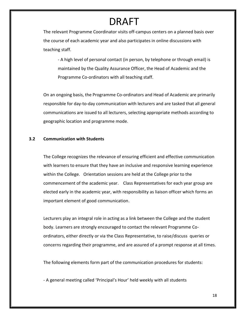The relevant Programme Coordinator visits off-campus centers on a planned basis over the course of each academic year and also participates in online discussions with teaching staff.

- A high level of personal contact (in person, by telephone or through email) is maintained by the Quality Assurance Officer, the Head of Academic and the Programme Co-ordinators with all teaching staff.

On an ongoing basis, the Programme Co-ordinators and Head of Academic are primarily responsible for day-to-day communication with lecturers and are tasked that all general communications are issued to all lecturers, selecting appropriate methods according to geographic location and programme mode.

#### **3.2 Communication with Students**

The College recognizes the relevance of ensuring efficient and effective communication with learners to ensure that they have an inclusive and responsive learning experience within the College. Orientation sessions are held at the College prior to the commencement of the academic year. Class Representatives for each year group are elected early in the academic year, with responsibility as liaison officer which forms an important element of good communication.

Lecturers play an integral role in acting as a link between the College and the student body. Learners are strongly encouraged to contact the relevant Programme Coordinators, either directly or via the Class Representative, to raise/discuss queries or concerns regarding their programme, and are assured of a prompt response at all times.

The following elements form part of the communication procedures for students:

- A general meeting called 'Principal's Hour' held weekly with all students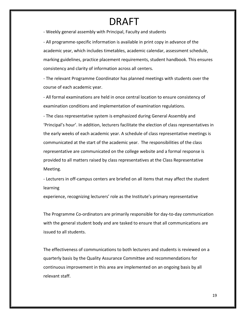- Weekly general assembly with Principal, Faculty and students

- All programme-specific information is available in print copy in advance of the academic year, which includes timetables, academic calendar, assessment schedule, marking guidelines, practice placement requirements, student handbook. This ensures consistency and clarity of information across all centers.

- The relevant Programme Coordinator has planned meetings with students over the course of each academic year.

- All formal examinations are held in once central location to ensure consistency of examination conditions and implementation of examination regulations.

- The class representative system is emphasized during General Assembly and 'Principal's hour'. In addition, lecturers facilitate the election of class representatives in the early weeks of each academic year. A schedule of class representative meetings is communicated at the start of the academic year. The responsibilities of the class representative are communicated on the college website and a formal response is provided to all matters raised by class representatives at the Class Representative Meeting.

- Lecturers in off-campus centers are briefed on all items that may affect the student learning

experience, recognizing lecturers' role as the Institute's primary representative

The Programme Co-ordinators are primarily responsible for day-to-day communication with the general student body and are tasked to ensure that all communications are issued to all students.

The effectiveness of communications to both lecturers and students is reviewed on a quarterly basis by the Quality Assurance Committee and recommendations for continuous improvement in this area are implemented on an ongoing basis by all relevant staff.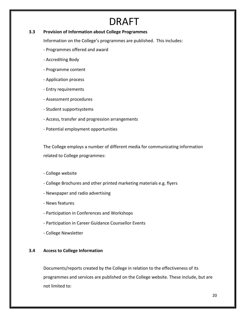#### **3.3 Provision of Information about College Programmes**

Information on the College's programmes are published. This includes:

- Programmes offered and award
- Accrediting Body
- Programme content
- Application process
- Entry requirements
- Assessment procedures
- Student supportsystems
- Access, transfer and progression arrangements
- Potential employment opportunities

The College employs a number of different media for communicating information related to College programmes:

- College website
- College Brochures and other printed marketing materials e.g. flyers
- Newspaper and radio advertising
- News features
- Participation in Conferences and Workshops
- Participation in Career Guidance Counsellor Events
- College Newsletter

#### **3.4 Access to College Information**

Documents/reports created by the College in relation to the effectiveness of its programmes and services are published on the College website. These include, but are not limited to: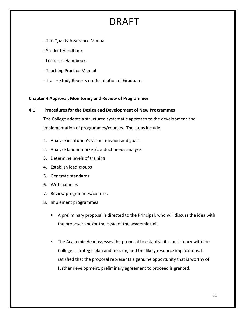- The Quality Assurance Manual
- Student Handbook
- Lecturers Handbook
- Teaching Practice Manual
- Tracer Study Reports on Destination of Graduates

#### **Chapter 4 Approval, Monitoring and Review of Programmes**

#### **4.1 Procedures for the Design and Development of New Programmes**  The College adopts a structured systematic approach to the development and

implementation of programmes/courses. The steps include:

- 1. Analyze institution's vision, mission and goals
- 2. Analyze labour market/conduct needs analysis
- 3. Determine levels of training
- 4. Establish lead groups
- 5. Generate standards
- 6. Write courses
- 7. Review programmes/courses
- 8. Implement programmes
	- A preliminary proposal is directed to the Principal, who will discuss the idea with the proposer and/or the Head of the academic unit.
	- **The Academic Headassesses the proposal to establish its consistency with the** College's strategic plan and mission, and the likely resource implications. If satisfied that the proposal represents a genuine opportunity that is worthy of further development, preliminary agreement to proceed is granted.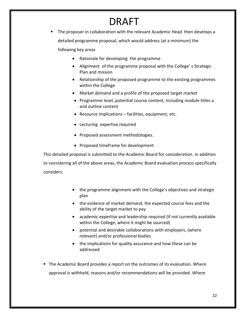- The proposer in collaboration with the relevant Academic Head then develops a detailed programme proposal, which would address (at a minimum) the following key areas
	- Rationale for developing the programme
	- Alignment of the programme proposal with the College' s Strategic Plan and mission
	- Relationship of the proposed programme to the existing programmes within the College
	- Market demand and a profile of the proposed target market
	- Programme level, potential course content, including module titles a and outline content
	- Resource implications facilities, equipment, etc.
	- Lecturing expertise required
	- Proposed assessment methodologies.
	- Proposed timeframe for development

This detailed proposal is submitted to the Academic Board for consideration. In addition to considering all of the above areas, the Academic Board evaluation process specifically considers:

- the programme alignment with the College's objectives and strategic plan
- the evidence of market demand, the expected course fees and the ability of the target market to pay
- academic expertise and leadership required (if not currently available within the College, where it might be sourced)
- potential and desirable collaborations with employers, (where relevant) and/or professional bodies
- the implications for quality assurance and how these can be addressed
- The Academic Board provides a report on the outcomes of its evaluation. Where approval is withheld, reasons and/or recommendations will be provided. Where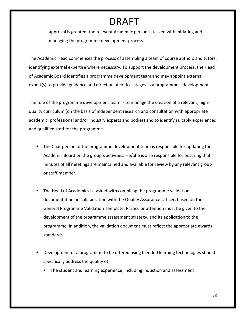approval is granted, the relevant Academic person is tasked with initiating and managing the programme development process.

The Academic Head commences the process of assembling a team of course authors and tutors, identifying external expertise where necessary. To support the development process, the Head of Academic Board identifies a programme development team and may appoint external expert(s) to provide guidance and direction at critical stages in a programme's development.

The role of the programme development team is to manage the creation of a relevant, highquality curriculum (on the basis of independent research and consultation with appropriate academic, professional and/or industry experts and bodies) and to identify suitably experienced and qualified staff for the programme.

- The Chairperson of the programme development team is responsible for updating the Academic Board on the group's activities. He/She is also responsible for ensuring that minutes of all meetings are maintained and available for review by any relevant group or staff member.
- The Head of Academics is tasked with compiling the programme validation documentation, in collaboration with the Quality Assurance Officer, based on the General Programme Validation Template. Particular attention must be given to the development of the programme assessment strategy, and its application to the programme. In addition, the validation document must reflect the appropriate awards standards.
- Development of a programme to be offered using blended learning technologies should specifically address the quality of:
	- The student and learning experience, including induction and assessment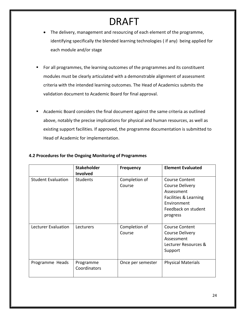- The delivery, management and resourcing of each element of the programme, identifying specifically the blended learning technologies ( if any) being applied for each module and/or stage
- For all programmes, the learning outcomes of the programmes and its constituent modules must be clearly articulated with a demonstrable alignment of assessment criteria with the intended learning outcomes. The Head of Academics submits the validation document to Academic Board for final approval.
- Academic Board considers the final document against the same criteria as outlined above, notably the precise implications for physical and human resources, as well as existing support facilities. If approved, the programme documentation is submitted to Head of Academic for implementation.

|                           | <b>Stakeholder</b><br>Involved | <b>Frequency</b>        | <b>Element Evaluated</b>                                                                                                          |
|---------------------------|--------------------------------|-------------------------|-----------------------------------------------------------------------------------------------------------------------------------|
| <b>Student Evaluation</b> | <b>Students</b>                | Completion of<br>Course | <b>Course Content</b><br>Course Delivery<br>Assessment<br>Facilities & Learning<br>Environment<br>Feedback on student<br>progress |
| Lecturer Evaluation       | Lecturers                      | Completion of<br>Course | <b>Course Content</b><br>Course Delivery<br>Assessment<br>Lecturer Resources &<br>Support                                         |
| Programme Heads           | Programme<br>Coordinators      | Once per semester       | <b>Physical Materials</b>                                                                                                         |

#### **4.2 Procedures for the Ongoing Monitoring of Programmes**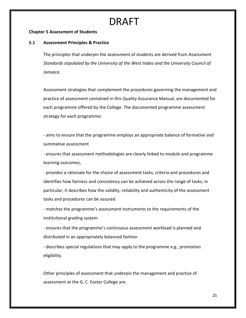#### **Chapter 5 Assessment of Students**

#### **5.1 Assessment Principles & Practice**

The principles that underpin the assessment of students are derived from *Assessment Standards stipulated by the University of the West Indies and the University Council of Jamaica.*

Assessment strategies that complement the procedures governing the management and practice of assessment contained in this Quality Assurance Manual, are documented for each programme offered by the College. The documented programme assessment strategy for each programme:

- aims to ensure that the programme employs an appropriate balance of formative and summative assessment

- ensures that assessment methodologies are clearly linked to module and programme learning outcomes,

- provides a rationale for the choice of assessment tasks, criteria and procedures and identifies how fairness and consistency can be achieved across the range of tasks; in particular, it describes how the validity, reliability and authenticity of the assessment tasks and procedures can be assured

- matches the programme's assessment instruments to the requirements of the institutional grading system

- ensures that the programme's continuous assessment workload is planned and distributed in an appropriately balanced fashion

- describes special regulations that may apply to the programme e.g., promotion eligibility.

Other principles of assessment that underpin the management and practice of assessment at the G. C. Foster College are: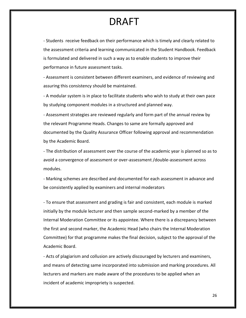- Students receive feedback on their performance which is timely and clearly related to the assessment criteria and learning communicated in the Student Handbook. Feedback is formulated and delivered in such a way as to enable students to improve their performance in future assessment tasks.

- Assessment is consistent between different examiners, and evidence of reviewing and assuring this consistency should be maintained.

- A modular system is in place to facilitate students who wish to study at their own pace by studying component modules in a structured and planned way.

- Assessment strategies are reviewed regularly and form part of the annual review by the relevant Programme Heads. Changes to same are formally approved and documented by the Quality Assurance Officer following approval and recommendation by the Academic Board.

- The distribution of assessment over the course of the academic year is planned so as to avoid a convergence of assessment or over-assessment /double-assessment across modules.

- Marking schemes are described and documented for each assessment in advance and be consistently applied by examiners and internal moderators

- To ensure that assessment and grading is fair and consistent, each module is marked initially by the module lecturer and then sample second-marked by a member of the Internal Moderation Committee or its appointee. Where there is a discrepancy between the first and second marker, the Academic Head (who chairs the Internal Moderation Committee) for that programme makes the final decision, subject to the approval of the Academic Board.

- Acts of plagiarism and collusion are actively discouraged by lecturers and examiners, and means of detecting same incorporated into submission and marking procedures. All lecturers and markers are made aware of the procedures to be applied when an incident of academic impropriety is suspected.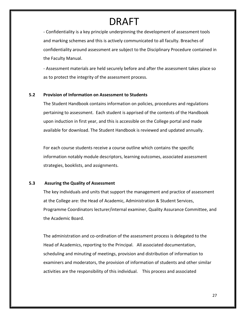- Confidentiality is a key principle underpinning the development of assessment tools and marking schemes and this is actively communicated to all faculty. Breaches of confidentiality around assessment are subject to the Disciplinary Procedure contained in the Faculty Manual.

- Assessment materials are held securely before and after the assessment takes place so as to protect the integrity of the assessment process.

#### **5.2 Provision of Information on Assessment to Students**

The Student Handbook contains information on policies, procedures and regulations pertaining to assessment. Each student is apprised of the contents of the Handbook upon induction in first year, and this is accessible on the College portal and made available for download. The Student Handbook is reviewed and updated annually.

For each course students receive a course outline which contains the specific information notably module descriptors, learning outcomes, associated assessment strategies, booklists, and assignments.

#### **5.3 Assuring the Quality of Assessment**

The key individuals and units that support the management and practice of assessment at the College are: the Head of Academic, Administration & Student Services, Programme Coordinators lecturer/internal examiner, Quality Assurance Committee, and the Academic Board.

The administration and co-ordination of the assessment process is delegated to the Head of Academics, reporting to the Principal. All associated documentation, scheduling and minuting of meetings, provision and distribution of information to examiners and moderators, the provision of information of students and other similar activities are the responsibility of this individual. This process and associated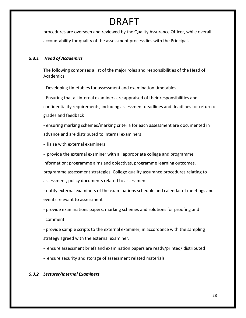procedures are overseen and reviewed by the Quality Assurance Officer, while overall accountability for quality of the assessment process lies with the Principal.

#### *5.3.1 Head of Academics*

The following comprises a list of the major roles and responsibilities of the Head of Academics:

- Developing timetables for assessment and examination timetables

- Ensuring that all internal examiners are appraised of their responsibilities and confidentiality requirements, including assessment deadlines and deadlines for return of grades and feedback

- ensuring marking schemes/marking criteria for each assessment are documented in advance and are distributed to internal examiners

- liaise with external examiners

- provide the external examiner with all appropriate college and programme information: programme aims and objectives, programme learning outcomes, programme assessment strategies, College quality assurance procedures relating to assessment, policy documents related to assessment

- notify external examiners of the examinations schedule and calendar of meetings and events relevant to assessment

- provide examinations papers, marking schemes and solutions for proofing and comment

- provide sample scripts to the external examiner, in accordance with the sampling strategy agreed with the external examiner.

- ensure assessment briefs and examination papers are ready/printed/ distributed
- ensure security and storage of assessment related materials

#### *5.3.2 Lecturer/Internal Examiners*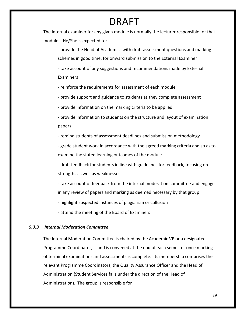The internal examiner for any given module is normally the lecturer responsible for that module. He/She is expected to:

- provide the Head of Academics with draft assessment questions and marking schemes in good time, for onward submission to the External Examiner

- take account of any suggestions and recommendations made by External Examiners

- reinforce the requirements for assessment of each module

- provide support and guidance to students as they complete assessment

- provide information on the marking criteria to be applied

- provide information to students on the structure and layout of examination papers

- remind students of assessment deadlines and submission methodology

- grade student work in accordance with the agreed marking criteria and so as to examine the stated learning outcomes of the module

- draft feedback for students in line with guidelines for feedback, focusing on strengths as well as weaknesses

- take account of feedback from the internal moderation committee and engage in any review of papers and marking as deemed necessary by that group

- highlight suspected instances of plagiarism or collusion

- attend the meeting of the Board of Examiners

#### *5.3.3 Internal Moderation Committee*

The Internal Moderation Committee is chaired by the Academic VP or a designated Programme Coordinator, is and is convened at the end of each semester once marking of terminal examinations and assessments is complete. Its membership comprises the relevant Programme Coordinators, the Quality Assurance Officer and the Head of Administration (Student Services falls under the direction of the Head of Administration). The group is responsible for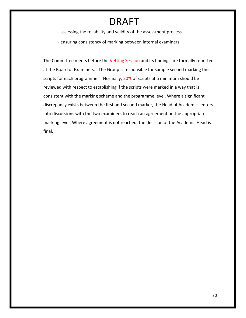- assessing the reliability and validity of the assessment process

- ensuring consistency of marking between internal examiners

The Committee meets before the Vetting Session and its findings are formally reported at the Board of Examiners. The Group is responsible for sample second marking the scripts for each programme. Normally, 20% of scripts at a minimum should be reviewed with respect to establishing if the scripts were marked in a way that is consistent with the marking scheme and the programme level. Where a significant discrepancy exists between the first and second marker, the Head of Academics enters into discussions with the two examiners to reach an agreement on the appropriate marking level. Where agreement is not reached, the decision of the Academic Head is final.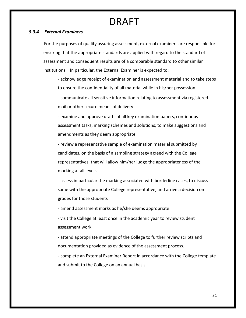#### *5.3.4 External Examiners*

For the purposes of quality assuring assessment, external examiners are responsible for ensuring that the appropriate standards are applied with regard to the standard of assessment and consequent results are of a comparable standard to other similar institutions. In particular, the External Examiner is expected to:

- acknowledge receipt of examination and assessment material and to take steps to ensure the confidentiality of all material while in his/her possession

- communicate all sensitive information relating to assessment via registered mail or other secure means of delivery

- examine and approve drafts of all key examination papers, continuous assessment tasks, marking schemes and solutions; to make suggestions and amendments as they deem appropriate

- review a representative sample of examination material submitted by candidates, on the basis of a sampling strategy agreed with the College representatives, that will allow him/her judge the appropriateness of the marking at all levels

- assess in particular the marking associated with borderline cases, to discuss same with the appropriate College representative, and arrive a decision on grades for those students

- amend assessment marks as he/she deems appropriate

- visit the College at least once in the academic year to review student assessment work

- attend appropriate meetings of the College to further review scripts and documentation provided as evidence of the assessment process.

- complete an External Examiner Report in accordance with the College template and submit to the College on an annual basis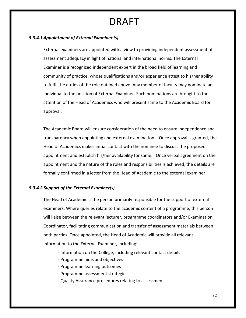#### *5.3.4.1 Appointment of External Examiner (s)*

External examiners are appointed with a view to providing independent assessment of assessment adequacy in light of national and international norms. The External Examiner is a recognized independent expert in the broad field of learning and community of practice, whose qualifications and/or experience attest to his/her ability to fulfil the duties of the role outlined above. Any member of faculty may nominate an individual to the position of External Examiner. Such nominations are brought to the attention of the Head of Academics who will present same to the Academic Board for approval.

The Academic Board will ensure consideration of the need to ensure independence and transparency when appointing and external examination. Once approval is granted, the Head of Academics makes initial contact with the nominee to discuss the proposed appointment and establish his/her availability for same. Once verbal agreement on the appointment and the nature of the roles and responsibilities is achieved, the details are formally confirmed in a letter from the Head of Academic to the external examiner.

#### *5.3.4.2 Support of the External Examiner(s)*

The Head of Academic is the person primarily responsible for the support of external examiners. Where queries relate to the academic content of a programme, this person will liaise between the relevant lecturer, programme coordinators and/or Examination Coordinator, facilitating communication and transfer of assessment materials between both parties. Once appointed, the Head of Academic will provide all relevant information to the External Examiner, including:

- Information on the College, including relevant contact details
- Programme aims and objectives
- Programme learning outcomes
- Programme assessment strategies
- Quality Assurance procedures relating to assessment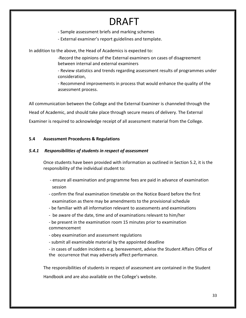- Sample assessment briefs and marking schemes
- External examiner's report guidelines and template.

In addition to the above, the Head of Academics is expected to:

-Record the opinions of the External examiners on cases of disagreement between internal and external examiners

- Review statistics and trends regarding assessment results of programmes under consideration,

- Recommend improvements in process that would enhance the quality of the assessment process.

All communication between the College and the External Examiner is channeled through the Head of Academic, and should take place through secure means of delivery. The External Examiner is required to acknowledge receipt of all assessment material from the College.

#### **5.4 Assessment Procedures & Regulations**

#### *5.4.1 Responsibilities of students in respect of assessment*

Once students have been provided with information as outlined in Section 5.2, it is the responsibility of the individual student to:

- ensure all examination and programme fees are paid in advance of examination session
- confirm the final examination timetable on the Notice Board before the first examination as there may be amendments to the provisional schedule
- be familiar with all information relevant to assessments and examinations
- be aware of the date, time and of examinations relevant to him/her

- be present in the examination room 15 minutes prior to examination commencement

- obey examination and assessment regulations
- submit all examinable material by the appointed deadline
- in cases of sudden incidents e.g. bereavement, advise the Student Affairs Office of the occurrence that may adversely affect performance.

The responsibilities of students in respect of assessment are contained in the Student Handbook and are also available on the College's website.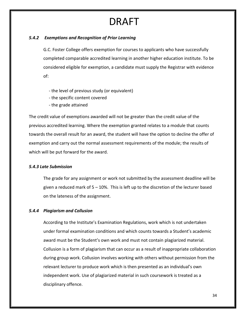#### *5.4.2 Exemptions and Recognition of Prior Learning*

G.C. Foster College offers exemption for courses to applicants who have successfully completed comparable accredited learning in another higher education institute. To be considered eligible for exemption, a candidate must supply the Registrar with evidence of:

- the level of previous study (or equivalent)
- the specific content covered
- the grade attained

The credit value of exemptions awarded will not be greater than the credit value of the previous accredited learning. Where the exemption granted relates to a module that counts towards the overall result for an award, the student will have the option to decline the offer of exemption and carry out the normal assessment requirements of the module; the results of which will be put forward for the award.

#### *5.4.3 Late Submission*

The grade for any assignment or work not submitted by the assessment deadline will be given a reduced mark of 5 – 10%. This is left up to the discretion of the lecturer based on the lateness of the assignment.

#### *5.4.4 Plagiarism and Collusion*

According to the Institute's Examination Regulations, work which is not undertaken under formal examination conditions and which counts towards a Student's academic award must be the Student's own work and must not contain plagiarized material. Collusion is a form of plagiarism that can occur as a result of inappropriate collaboration during group work. Collusion involves working with others without permission from the relevant lecturer to produce work which is then presented as an individual's own independent work. Use of plagiarized material in such coursework is treated as a disciplinary offence.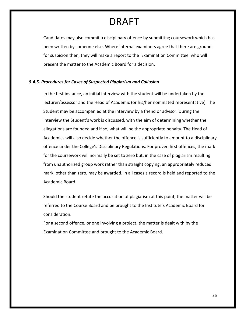Candidates may also commit a disciplinary offence by submitting coursework which has been written by someone else. Where internal examiners agree that there are grounds for suspicion then, they will make a report to the Examination Committee who will present the matter to the Academic Board for a decision.

#### *5.4.5. Procedures for Cases of Suspected Plagiarism and Collusion*

In the first instance, an initial interview with the student will be undertaken by the lecturer/assessor and the Head of Academic (or his/her nominated representative). The Student may be accompanied at the interview by a friend or advisor. During the interview the Student's work is discussed, with the aim of determining whether the allegations are founded and if so, what will be the appropriate penalty. The Head of Academics will also decide whether the offence is sufficiently to amount to a disciplinary offence under the College's Disciplinary Regulations. For proven first offences, the mark for the coursework will normally be set to zero but, in the case of plagiarism resulting from unauthorized group work rather than straight copying, an appropriately reduced mark, other than zero, may be awarded. In all cases a record is held and reported to the Academic Board.

Should the student refute the accusation of plagiarism at this point, the matter will be referred to the Course Board and be brought to the Institute's Academic Board for consideration.

For a second offence, or one involving a project, the matter is dealt with by the Examination Committee and brought to the Academic Board.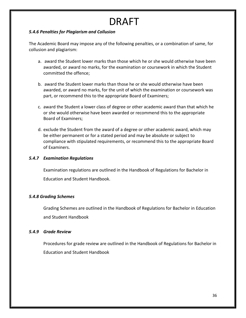#### *5.4.6 Penalties for Plagiarism and Collusion*

The Academic Board may impose any of the following penalties, or a combination of same, for collusion and plagiarism:

- a. award the Student lower marks than those which he or she would otherwise have been awarded, or award no marks, for the examination or coursework in which the Student committed the offence;
- b. award the Student lower marks than those he or she would otherwise have been awarded, or award no marks, for the unit of which the examination or coursework was part, or recommend this to the appropriate Board of Examiners;
- c. award the Student a lower class of degree or other academic award than that which he or she would otherwise have been awarded or recommend this to the appropriate Board of Examiners;
- d. exclude the Student from the award of a degree or other academic award, which may be either permanent or for a stated period and may be absolute or subject to compliance with stipulated requirements, or recommend this to the appropriate Board of Examiners.

#### *5.4.7 Examination Regulations*

Examination regulations are outlined in the Handbook of Regulations for Bachelor in Education and Student Handbook.

#### *5.4.8 Grading Schemes*

Grading Schemes are outlined in the Handbook of Regulations for Bachelor in Education and Student Handbook

#### *5.4.9 Grade Review*

Procedures for grade review are outlined in the Handbook of Regulations for Bachelor in Education and Student Handbook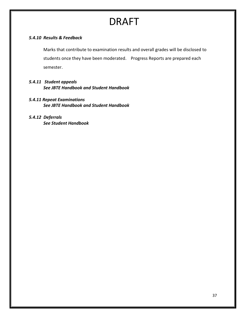#### *5.4.10 Results & Feedback*

Marks that contribute to examination results and overall grades will be disclosed to students once they have been moderated. Progress Reports are prepared each semester.

#### *5.4.11 Student appeals See JBTE Handbook and Student Handbook*

*5.4.11 Repeat Examinations See JBTE Handbook and Student Handbook*

#### *5.4.12 Deferrals See Student Handbook*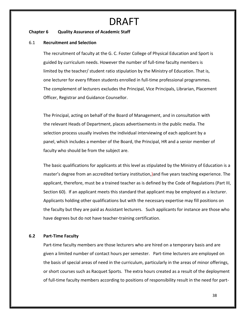#### **Chapter 6 Quality Assurance of Academic Staff**

#### 6.1 **Recruitment and Selection**

The recruitment of faculty at the G. C. Foster College of Physical Education and Sport is guided by curriculum needs. However the number of full-time faculty members is limited by the teacher/ student ratio stipulation by the Ministry of Education. That is, one lecturer for every fifteen students enrolled in full-time professional programmes. The complement of lecturers excludes the Principal, Vice Principals, Librarian, Placement Officer, Registrar and Guidance Counsellor.

The Principal, acting on behalf of the Board of Management, and in consultation with the relevant Heads of Department, places advertisements in the public media. The selection process usually involves the individual interviewing of each applicant by a panel, which includes a member of the Board, the Principal, HR and a senior member of faculty who should be from the subject are.

The basic qualifications for applicants at this level as stipulated by the Ministry of Education is a master's degree from an accredited tertiary institution,)and five years teaching experience. The applicant, therefore, must be a trained teacher as is defined by the Code of Regulations (Part III, Section 60). If an applicant meets this standard that applicant may be employed as a lecturer. Applicants holding other qualifications but with the necessary expertise may fill positions on the faculty but they are paid as Assistant lecturers. Such applicants for instance are those who have degrees but do not have teacher-training certification.

#### **6.2 Part-Time Faculty**

Part-time faculty members are those lecturers who are hired on a temporary basis and are given a limited number of contact hours per semester. Part-time lecturers are employed on the basis of special areas of need in the curriculum, particularly in the areas of minor offerings, or short courses such as Racquet Sports. The extra hours created as a result of the deployment of full-time faculty members according to positions of responsibility result in the need for part-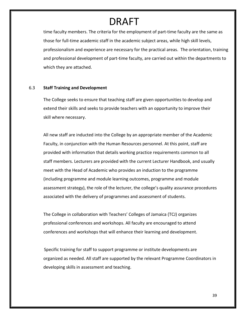time faculty members. The criteria for the employment of part-time faculty are the same as those for full-time academic staff in the academic subject areas, while high skill levels, professionalism and experience are necessary for the practical areas. The orientation, training and professional development of part-time faculty, are carried out within the departments to which they are attached.

#### 6.3 **Staff Training and Development**

The College seeks to ensure that teaching staff are given opportunities to develop and extend their skills and seeks to provide teachers with an opportunity to improve their skill where necessary.

All new staff are inducted into the College by an appropriate member of the Academic Faculty, in conjunction with the Human Resources personnel. At this point, staff are provided with information that details working practice requirements common to all staff members. Lecturers are provided with the current Lecturer Handbook, and usually meet with the Head of Academic who provides an induction to the programme (including programme and module learning outcomes, programme and module assessment strategy), the role of the lecturer, the college's quality assurance procedures associated with the delivery of programmes and assessment of students.

The College in collaboration with Teachers' Colleges of Jamaica (TCJ) organizes professional conferences and workshops. All faculty are encouraged to attend conferences and workshops that will enhance their learning and development.

Specific training for staff to support programme or institute developments are organized as needed. All staff are supported by the relevant Programme Coordinators in developing skills in assessment and teaching.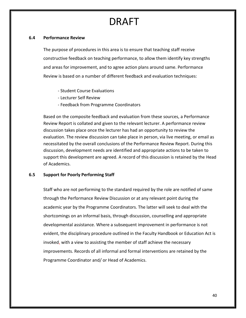#### **6.4 Performance Review**

The purpose of procedures in this area is to ensure that teaching staff receive constructive feedback on teaching performance, to allow them identify key strengths and areas for improvement, and to agree action plans around same. Performance Review is based on a number of different feedback and evaluation techniques:

- Student Course Evaluations
- Lecturer Self Review
- Feedback from Programme Coordinators

Based on the composite feedback and evaluation from these sources, a Performance Review Report is collated and given to the relevant lecturer. A performance review discussion takes place once the lecturer has had an opportunity to review the evaluation. The review discussion can take place in person, via live meeting, or email as necessitated by the overall conclusions of the Performance Review Report. During this discussion, development needs are identified and appropriate actions to be taken to support this development are agreed. A record of this discussion is retained by the Head of Academics.

#### **6.5 Support for Poorly Performing Staff**

Staff who are not performing to the standard required by the role are notified of same through the Performance Review Discussion or at any relevant point during the academic year by the Programme Coordinators. The latter will seek to deal with the shortcomings on an informal basis, through discussion, counselling and appropriate developmental assistance. Where a subsequent improvement in performance is not evident, the disciplinary procedure outlined in the Faculty Handbook or Education Act is invoked, with a view to assisting the member of staff achieve the necessary improvements. Records of all informal and formal interventions are retained by the Programme Coordinator and/ or Head of Academics.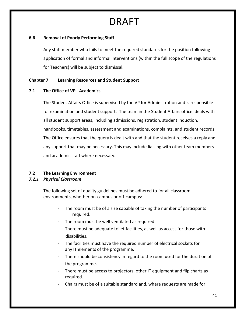#### **6.6 Removal of Poorly Performing Staff**

Any staff member who fails to meet the required standards for the position following application of formal and informal interventions (within the full scope of the regulations for Teachers) will be subject to dismissal.

#### **Chapter 7 Learning Resources and Student Support**

#### **7.1 The Office of VP - Academics**

The Student Affairs Office is supervised by the VP for Administration and is responsible for examination and student support. The team in the Student Affairs office deals with all student support areas, including admissions, registration, student induction, handbooks, timetables, assessment and examinations, complaints, and student records. The Office ensures that the query is dealt with and that the student receives a reply and any support that may be necessary. This may include liaising with other team members and academic staff where necessary.

#### **7.2 The Learning Environment**

#### *7.2.1 Physical Classroom*

The following set of quality guidelines must be adhered to for all classroom environments, whether on-campus or off-campus:

- The room must be of a size capable of taking the number of participants required.
- The room must be well ventilated as required.
- There must be adequate toilet facilities, as well as access for those with disabilities.
- The facilities must have the required number of electrical sockets for any IT elements of the programme.
- There should be consistency in regard to the room used for the duration of the programme.
- There must be access to projectors, other IT equipment and flip charts as required.
- Chairs must be of a suitable standard and, where requests are made for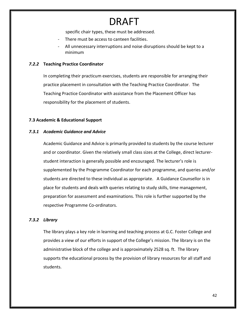specific chair types, these must be addressed.

- There must be access to canteen facilities.
- All unnecessary interruptions and noise disruptions should be kept to a minimum

#### *7.2.2* **Teaching Practice Coordinator**

In completing their practicum exercises, students are responsible for arranging their practice placement in consultation with the Teaching Practice Coordinator. The Teaching Practice Coordinator with assistance from the Placement Officer has responsibility for the placement of students.

#### **7.3 Academic & Educational Support**

#### *7.3.1 Academic Guidance and Advice*

Academic Guidance and Advice is primarily provided to students by the course lecturer and or coordinator. Given the relatively small class sizes at the College, direct lecturerstudent interaction is generally possible and encouraged. The lecturer's role is supplemented by the Programme Coordinator for each programme, and queries and/or students are directed to these individual as appropriate. A Guidance Counsellor is in place for students and deals with queries relating to study skills, time management, preparation for assessment and examinations. This role is further supported by the respective Programme Co-ordinators.

#### *7.3.2 Library*

The library plays a key role in learning and teaching process at G.C. Foster College and provides a view of our efforts in support of the College's mission. The library is on the administrative block of the college and is approximately 2528 sq. ft. The library supports the educational process by the provision of library resources for all staff and students.